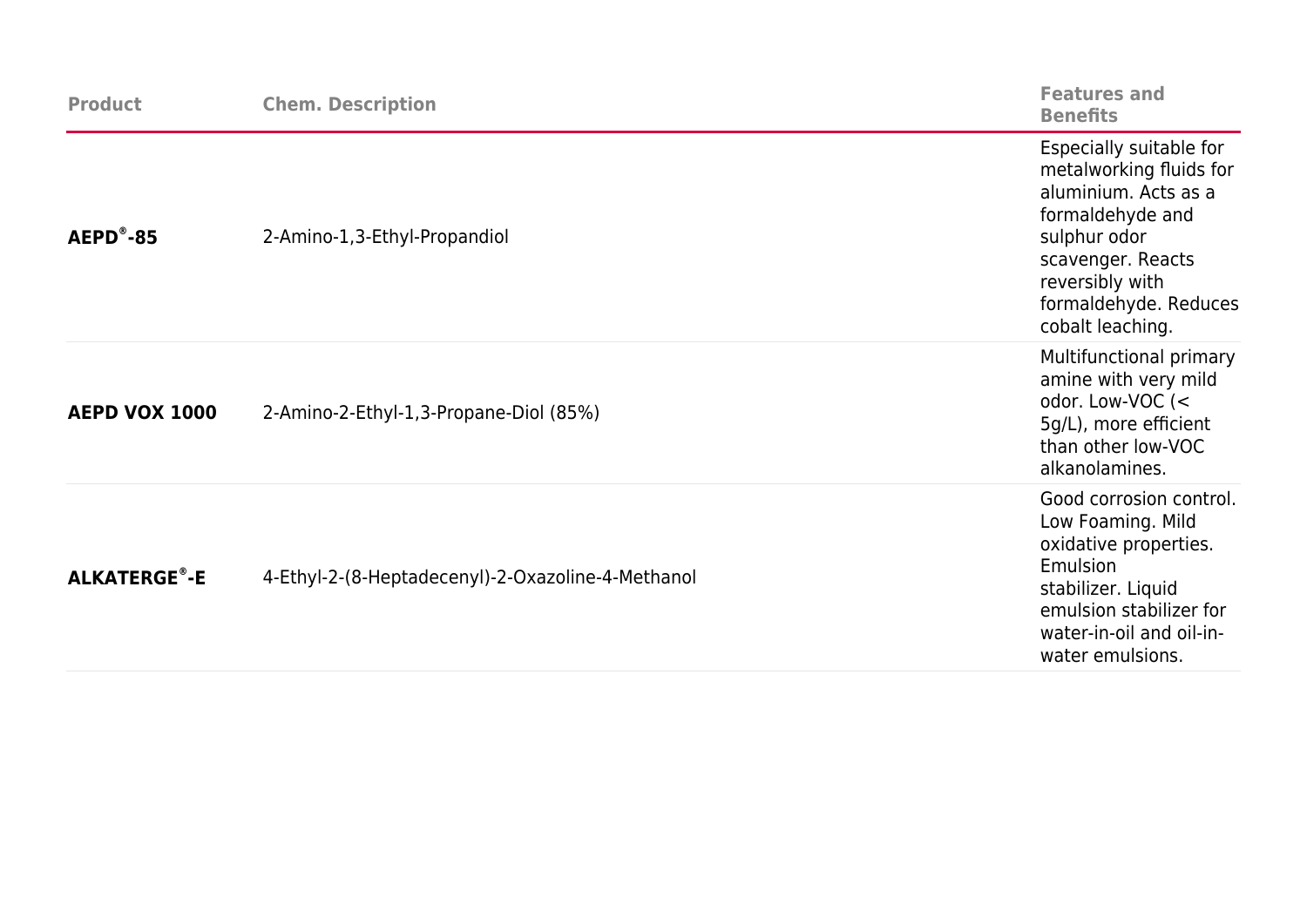| <b>Product</b>      | <b>Chem. Description</b>                          | <b>Features and</b><br><b>Benefits</b>                                                                                                                                                              |
|---------------------|---------------------------------------------------|-----------------------------------------------------------------------------------------------------------------------------------------------------------------------------------------------------|
| $AEPD^{\circ} - 85$ | 2-Amino-1,3-Ethyl-Propandiol                      | Especially suitable for<br>metalworking fluids for<br>aluminium. Acts as a<br>formaldehyde and<br>sulphur odor<br>scavenger. Reacts<br>reversibly with<br>formaldehyde. Reduces<br>cobalt leaching. |
| AEPD VOX 1000       | 2-Amino-2-Ethyl-1,3-Propane-Diol (85%)            | Multifunctional primary<br>amine with very mild<br>odor. Low-VOC (<<br>5g/L), more efficient<br>than other low-VOC<br>alkanolamines.                                                                |
| <b>ALKATERGE®-E</b> | 4-Ethyl-2-(8-Heptadecenyl)-2-Oxazoline-4-Methanol | Good corrosion control.<br>Low Foaming. Mild<br>oxidative properties.<br>Emulsion<br>stabilizer. Liquid<br>emulsion stabilizer for<br>water-in-oil and oil-in-<br>water emulsions.                  |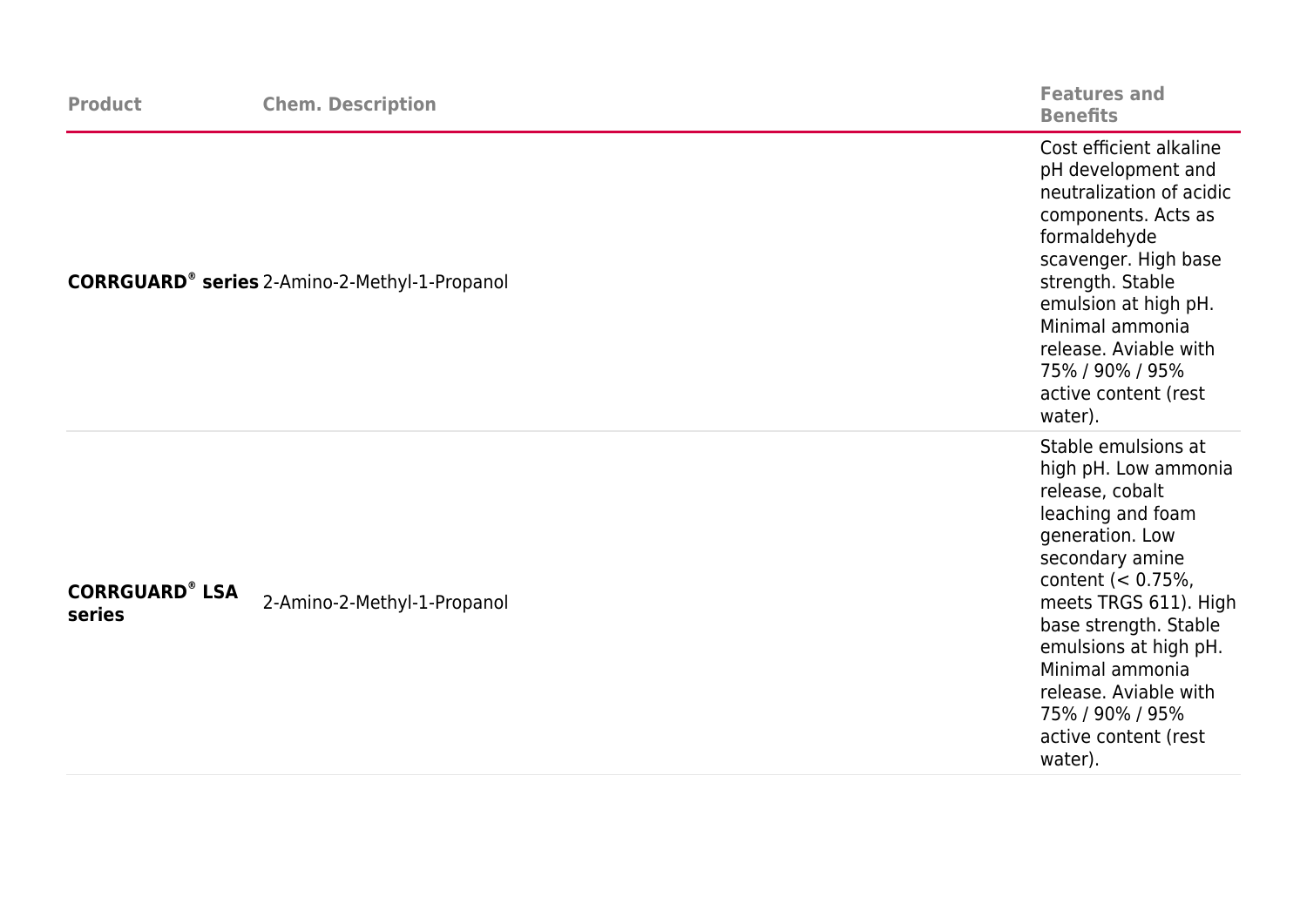| <b>Product</b>                  | <b>Chem. Description</b>                             | <b>Features and</b><br><b>Benefits</b>                                                                                                                                                                                                                                                                                          |
|---------------------------------|------------------------------------------------------|---------------------------------------------------------------------------------------------------------------------------------------------------------------------------------------------------------------------------------------------------------------------------------------------------------------------------------|
|                                 | <b>CORRGUARD®</b> series 2-Amino-2-Methyl-1-Propanol | Cost efficient alkaline<br>pH development and<br>neutralization of acidic<br>components. Acts as<br>formaldehyde<br>scavenger. High base<br>strength. Stable<br>emulsion at high pH.<br>Minimal ammonia<br>release. Aviable with<br>75% / 90% / 95%<br>active content (rest<br>water).                                          |
| <b>CORRGUARD® LSA</b><br>series | 2-Amino-2-Methyl-1-Propanol                          | Stable emulsions at<br>high pH. Low ammonia<br>release, cobalt<br>leaching and foam<br>generation. Low<br>secondary amine<br>content $(< 0.75\%$ ,<br>meets TRGS 611). High<br>base strength. Stable<br>emulsions at high pH.<br>Minimal ammonia<br>release. Aviable with<br>75% / 90% / 95%<br>active content (rest<br>water). |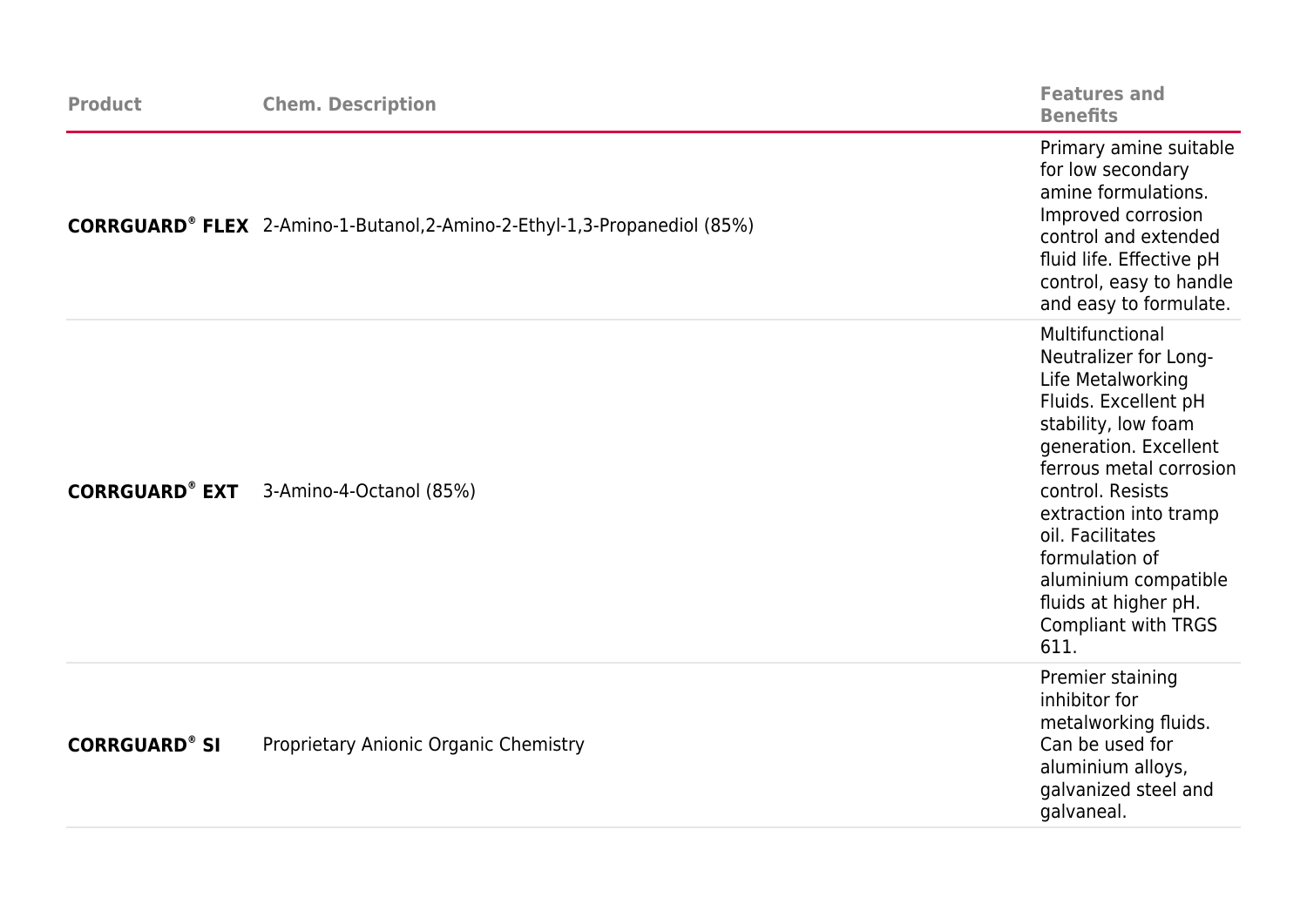| <b>Product</b>        | <b>Chem. Description</b>                                                                    | <b>Features and</b><br><b>Benefits</b>                                                                                                                                                                                                                                                                                                    |
|-----------------------|---------------------------------------------------------------------------------------------|-------------------------------------------------------------------------------------------------------------------------------------------------------------------------------------------------------------------------------------------------------------------------------------------------------------------------------------------|
|                       | <b>CORRGUARD<sup>®</sup> FLEX</b> 2-Amino-1-Butanol, 2-Amino-2-Ethyl-1, 3-Propanediol (85%) | Primary amine suitable<br>for low secondary<br>amine formulations.<br>Improved corrosion<br>control and extended<br>fluid life. Effective pH<br>control, easy to handle<br>and easy to formulate.                                                                                                                                         |
| <b>CORRGUARD® EXT</b> | 3-Amino-4-Octanol (85%)                                                                     | Multifunctional<br>Neutralizer for Long-<br>Life Metalworking<br>Fluids. Excellent pH<br>stability, low foam<br>generation. Excellent<br>ferrous metal corrosion<br>control. Resists<br>extraction into tramp<br>oil. Facilitates<br>formulation of<br>aluminium compatible<br>fluids at higher pH.<br><b>Compliant with TRGS</b><br>611. |
| <b>CORRGUARD® SI</b>  | Proprietary Anionic Organic Chemistry                                                       | Premier staining<br>inhibitor for<br>metalworking fluids.<br>Can be used for<br>aluminium alloys,<br>galvanized steel and<br>galvaneal.                                                                                                                                                                                                   |